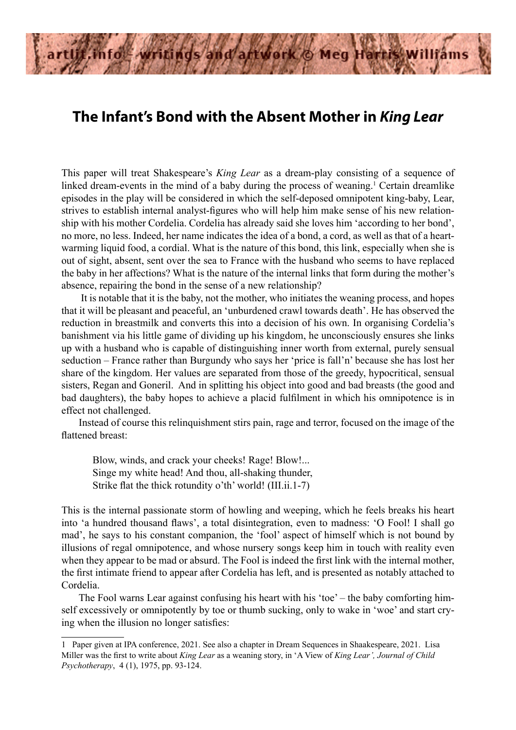

## **The Infant's Bond with the Absent Mother in** *King Lear*

This paper will treat Shakespeare's *King Lear* as a dream-play consisting of a sequence of linked dream-events in the mind of a baby during the process of weaning.<sup>1</sup> Certain dreamlike episodes in the play will be considered in which the self-deposed omnipotent king-baby, Lear, strives to establish internal analyst-figures who will help him make sense of his new relationship with his mother Cordelia. Cordelia has already said she loves him 'according to her bond', no more, no less. Indeed, her name indicates the idea of a bond, a cord, as well as that of a heartwarming liquid food, a cordial. What is the nature of this bond, this link, especially when she is out of sight, absent, sent over the sea to France with the husband who seems to have replaced the baby in her affections? What is the nature of the internal links that form during the mother's absence, repairing the bond in the sense of a new relationship?

 It is notable that it is the baby, not the mother, who initiates the weaning process, and hopes that it will be pleasant and peaceful, an 'unburdened crawl towards death'. He has observed the reduction in breastmilk and converts this into a decision of his own. In organising Cordelia's banishment via his little game of dividing up his kingdom, he unconsciously ensures she links up with a husband who is capable of distinguishing inner worth from external, purely sensual seduction – France rather than Burgundy who says her 'price is fall'n' because she has lost her share of the kingdom. Her values are separated from those of the greedy, hypocritical, sensual sisters, Regan and Goneril. And in splitting his object into good and bad breasts (the good and bad daughters), the baby hopes to achieve a placid fulfilment in which his omnipotence is in effect not challenged.

Instead of course this relinquishment stirs pain, rage and terror, focused on the image of the flattened breast:

Blow, winds, and crack your cheeks! Rage! Blow!... Singe my white head! And thou, all-shaking thunder, Strike flat the thick rotundity o'th' world! (III.ii.1-7)

This is the internal passionate storm of howling and weeping, which he feels breaks his heart into 'a hundred thousand flaws', a total disintegration, even to madness: 'O Fool! I shall go mad', he says to his constant companion, the 'fool' aspect of himself which is not bound by illusions of regal omnipotence, and whose nursery songs keep him in touch with reality even when they appear to be mad or absurd. The Fool is indeed the first link with the internal mother, the first intimate friend to appear after Cordelia has left, and is presented as notably attached to Cordelia.

The Fool warns Lear against confusing his heart with his 'toe' – the baby comforting himself excessively or omnipotently by toe or thumb sucking, only to wake in 'woe' and start crying when the illusion no longer satisfies:

<sup>1</sup> Paper given at IPA conference, 2021. See also a chapter in Dream Sequences in Shaakespeare, 2021. Lisa Miller was the first to write about *King Lear* as a weaning story, in 'A View of *King Lear', Journal of Child Psychotherapy*, 4 (1), 1975, pp. 93-124.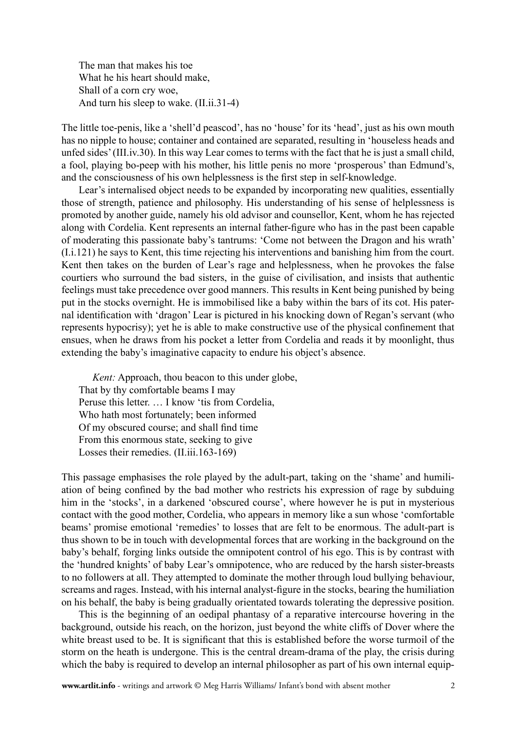The man that makes his toe What he his heart should make, Shall of a corn cry woe, And turn his sleep to wake. (II.ii.31-4)

The little toe-penis, like a 'shell'd peascod', has no 'house' for its 'head', just as his own mouth has no nipple to house; container and contained are separated, resulting in 'houseless heads and unfed sides' (III.iv.30). In this way Lear comes to terms with the fact that he is just a small child, a fool, playing bo-peep with his mother, his little penis no more 'prosperous' than Edmund's, and the consciousness of his own helplessness is the first step in self-knowledge.

Lear's internalised object needs to be expanded by incorporating new qualities, essentially those of strength, patience and philosophy. His understanding of his sense of helplessness is promoted by another guide, namely his old advisor and counsellor, Kent, whom he has rejected along with Cordelia. Kent represents an internal father-figure who has in the past been capable of moderating this passionate baby's tantrums: 'Come not between the Dragon and his wrath' (I.i.121) he says to Kent, this time rejecting his interventions and banishing him from the court. Kent then takes on the burden of Lear's rage and helplessness, when he provokes the false courtiers who surround the bad sisters, in the guise of civilisation, and insists that authentic feelings must take precedence over good manners. This results in Kent being punished by being put in the stocks overnight. He is immobilised like a baby within the bars of its cot. His paternal identification with 'dragon' Lear is pictured in his knocking down of Regan's servant (who represents hypocrisy); yet he is able to make constructive use of the physical confinement that ensues, when he draws from his pocket a letter from Cordelia and reads it by moonlight, thus extending the baby's imaginative capacity to endure his object's absence.

*Kent:* Approach, thou beacon to this under globe, That by thy comfortable beams I may Peruse this letter. … I know 'tis from Cordelia, Who hath most fortunately; been informed Of my obscured course; and shall find time From this enormous state, seeking to give Losses their remedies. (II.iii.163-169)

This passage emphasises the role played by the adult-part, taking on the 'shame' and humiliation of being confined by the bad mother who restricts his expression of rage by subduing him in the 'stocks', in a darkened 'obscured course', where however he is put in mysterious contact with the good mother, Cordelia, who appears in memory like a sun whose 'comfortable beams' promise emotional 'remedies' to losses that are felt to be enormous. The adult-part is thus shown to be in touch with developmental forces that are working in the background on the baby's behalf, forging links outside the omnipotent control of his ego. This is by contrast with the 'hundred knights' of baby Lear's omnipotence, who are reduced by the harsh sister-breasts to no followers at all. They attempted to dominate the mother through loud bullying behaviour, screams and rages. Instead, with his internal analyst-figure in the stocks, bearing the humiliation on his behalf, the baby is being gradually orientated towards tolerating the depressive position.

This is the beginning of an oedipal phantasy of a reparative intercourse hovering in the background, outside his reach, on the horizon, just beyond the white cliffs of Dover where the white breast used to be. It is significant that this is established before the worse turmoil of the storm on the heath is undergone. This is the central dream-drama of the play, the crisis during which the baby is required to develop an internal philosopher as part of his own internal equip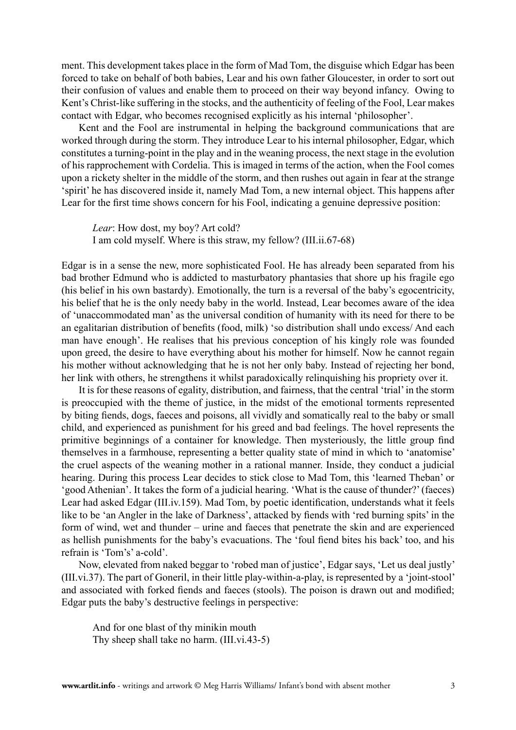ment. This development takes place in the form of Mad Tom, the disguise which Edgar has been forced to take on behalf of both babies, Lear and his own father Gloucester, in order to sort out their confusion of values and enable them to proceed on their way beyond infancy. Owing to Kent's Christ-like suffering in the stocks, and the authenticity of feeling of the Fool, Lear makes contact with Edgar, who becomes recognised explicitly as his internal 'philosopher'.

Kent and the Fool are instrumental in helping the background communications that are worked through during the storm. They introduce Lear to his internal philosopher, Edgar, which constitutes a turning-point in the play and in the weaning process, the next stage in the evolution of his rapprochement with Cordelia. This is imaged in terms of the action, when the Fool comes upon a rickety shelter in the middle of the storm, and then rushes out again in fear at the strange 'spirit' he has discovered inside it, namely Mad Tom, a new internal object. This happens after Lear for the first time shows concern for his Fool, indicating a genuine depressive position:

*Lear*: How dost, my boy? Art cold? I am cold myself. Where is this straw, my fellow? (III.ii.67-68)

Edgar is in a sense the new, more sophisticated Fool. He has already been separated from his bad brother Edmund who is addicted to masturbatory phantasies that shore up his fragile ego (his belief in his own bastardy). Emotionally, the turn is a reversal of the baby's egocentricity, his belief that he is the only needy baby in the world. Instead, Lear becomes aware of the idea of 'unaccommodated man' as the universal condition of humanity with its need for there to be an egalitarian distribution of benefits (food, milk) 'so distribution shall undo excess/ And each man have enough'. He realises that his previous conception of his kingly role was founded upon greed, the desire to have everything about his mother for himself. Now he cannot regain his mother without acknowledging that he is not her only baby. Instead of rejecting her bond, her link with others, he strengthens it whilst paradoxically relinquishing his propriety over it.

It is for these reasons of egality, distribution, and fairness, that the central 'trial' in the storm is preoccupied with the theme of justice, in the midst of the emotional torments represented by biting fiends, dogs, faeces and poisons, all vividly and somatically real to the baby or small child, and experienced as punishment for his greed and bad feelings. The hovel represents the primitive beginnings of a container for knowledge. Then mysteriously, the little group find themselves in a farmhouse, representing a better quality state of mind in which to 'anatomise' the cruel aspects of the weaning mother in a rational manner. Inside, they conduct a judicial hearing. During this process Lear decides to stick close to Mad Tom, this 'learned Theban' or 'good Athenian'. It takes the form of a judicial hearing. 'What is the cause of thunder?' (faeces) Lear had asked Edgar (III.iv.159). Mad Tom, by poetic identification, understands what it feels like to be 'an Angler in the lake of Darkness', attacked by fiends with 'red burning spits' in the form of wind, wet and thunder – urine and faeces that penetrate the skin and are experienced as hellish punishments for the baby's evacuations. The 'foul fiend bites his back' too, and his refrain is 'Tom's' a-cold'.

Now, elevated from naked beggar to 'robed man of justice', Edgar says, 'Let us deal justly' (III.vi.37). The part of Goneril, in their little play-within-a-play, is represented by a 'joint-stool' and associated with forked fiends and faeces (stools). The poison is drawn out and modified; Edgar puts the baby's destructive feelings in perspective:

And for one blast of thy minikin mouth Thy sheep shall take no harm. (III.vi.43-5)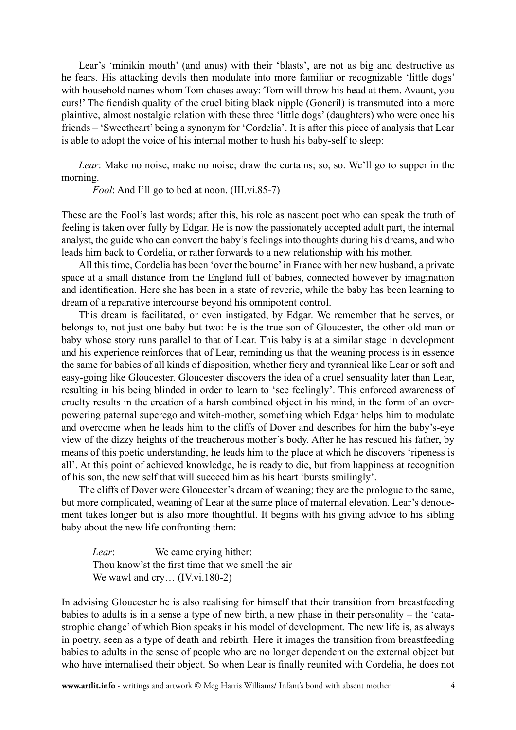Lear's 'minikin mouth' (and anus) with their 'blasts', are not as big and destructive as he fears. His attacking devils then modulate into more familiar or recognizable 'little dogs' with household names whom Tom chases away:*'*Tom will throw his head at them. Avaunt, you curs!' The fiendish quality of the cruel biting black nipple (Goneril) is transmuted into a more plaintive, almost nostalgic relation with these three 'little dogs' (daughters) who were once his friends – 'Sweetheart' being a synonym for 'Cordelia'. It is after this piece of analysis that Lear is able to adopt the voice of his internal mother to hush his baby-self to sleep:

*Lear*: Make no noise, make no noise; draw the curtains; so, so. We'll go to supper in the morning.

*Fool*: And I'll go to bed at noon. (III.vi.85-7)

These are the Fool's last words; after this, his role as nascent poet who can speak the truth of feeling is taken over fully by Edgar. He is now the passionately accepted adult part, the internal analyst, the guide who can convert the baby's feelings into thoughts during his dreams, and who leads him back to Cordelia, or rather forwards to a new relationship with his mother.

All this time, Cordelia has been 'over the bourne' in France with her new husband, a private space at a small distance from the England full of babies, connected however by imagination and identification. Here she has been in a state of reverie, while the baby has been learning to dream of a reparative intercourse beyond his omnipotent control.

This dream is facilitated, or even instigated, by Edgar. We remember that he serves, or belongs to, not just one baby but two: he is the true son of Gloucester, the other old man or baby whose story runs parallel to that of Lear. This baby is at a similar stage in development and his experience reinforces that of Lear, reminding us that the weaning process is in essence the same for babies of all kinds of disposition, whether fiery and tyrannical like Lear or soft and easy-going like Gloucester. Gloucester discovers the idea of a cruel sensuality later than Lear, resulting in his being blinded in order to learn to 'see feelingly'. This enforced awareness of cruelty results in the creation of a harsh combined object in his mind, in the form of an overpowering paternal superego and witch-mother, something which Edgar helps him to modulate and overcome when he leads him to the cliffs of Dover and describes for him the baby's-eye view of the dizzy heights of the treacherous mother's body. After he has rescued his father, by means of this poetic understanding, he leads him to the place at which he discovers 'ripeness is all'. At this point of achieved knowledge, he is ready to die, but from happiness at recognition of his son, the new self that will succeed him as his heart 'bursts smilingly'.

The cliffs of Dover were Gloucester's dream of weaning; they are the prologue to the same, but more complicated, weaning of Lear at the same place of maternal elevation. Lear's denouement takes longer but is also more thoughtful. It begins with his giving advice to his sibling baby about the new life confronting them:

*Lear*: We came crying hither: Thou know'st the first time that we smell the air We wawl and cry... (IV.vi.180-2)

In advising Gloucester he is also realising for himself that their transition from breastfeeding babies to adults is in a sense a type of new birth, a new phase in their personality – the 'catastrophic change' of which Bion speaks in his model of development. The new life is, as always in poetry, seen as a type of death and rebirth. Here it images the transition from breastfeeding babies to adults in the sense of people who are no longer dependent on the external object but who have internalised their object. So when Lear is finally reunited with Cordelia, he does not